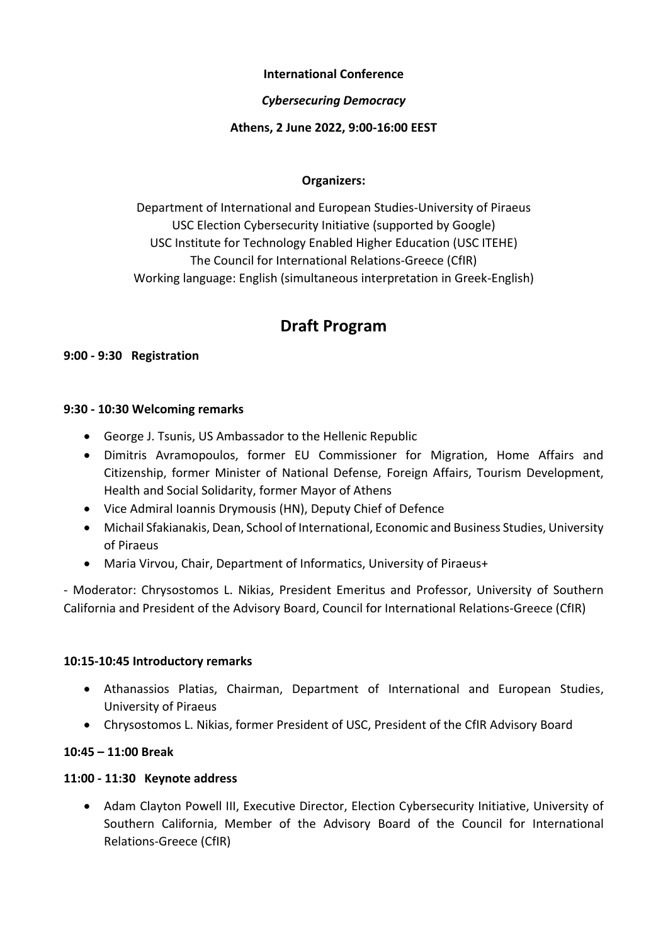#### **International Conference**

## *Cybersecuring Democracy*

### **Athens, 2 June 2022, 9:00-16:00 EEST**

## **Organizers:**

Department of International and European Studies-University of Piraeus USC Election Cybersecurity Initiative (supported by Google) USC Institute for Technology Enabled Higher Education (USC ITEHE) The Council for International Relations-Greece (CfIR) Working language: English (simultaneous interpretation in Greek-English)

# **Draft Program**

#### **9:00 - 9:30 Registration**

#### **9:30 - 10:30 Welcoming remarks**

- George J. Tsunis, US Ambassador to the Hellenic Republic
- Dimitris Avramopoulos, former EU Commissioner for Migration, Home Affairs and Citizenship, former Minister of National Defense, Foreign Affairs, Tourism Development, Health and Social Solidarity, former Mayor of Athens
- Vice Admiral Ioannis Drymousis (HN), Deputy Chief of Defence
- Michail Sfakianakis, Dean, School of International, Economic and Business Studies, University of Piraeus
- Maria Virvou, Chair, Department of Informatics, University of Piraeus+

- Moderator: Chrysostomos L. Nikias, President Emeritus and Professor, University of Southern California and President of the Advisory Board, Council for International Relations-Greece (CfIR)

#### **10:15-10:45 Introductory remarks**

- Athanassios Platias, Chairman, Department of International and European Studies, University of Piraeus
- Chrysostomos L. Nikias, former President of USC, President of the CfIR Advisory Board

#### **10:45 – 11:00 Break**

#### **11:00 - 11:30 Keynote address**

• Adam Clayton Powell III, Executive Director, Election Cybersecurity Initiative, University of Southern California, Member of the Advisory Board of the Council for International Relations-Greece (CfIR)